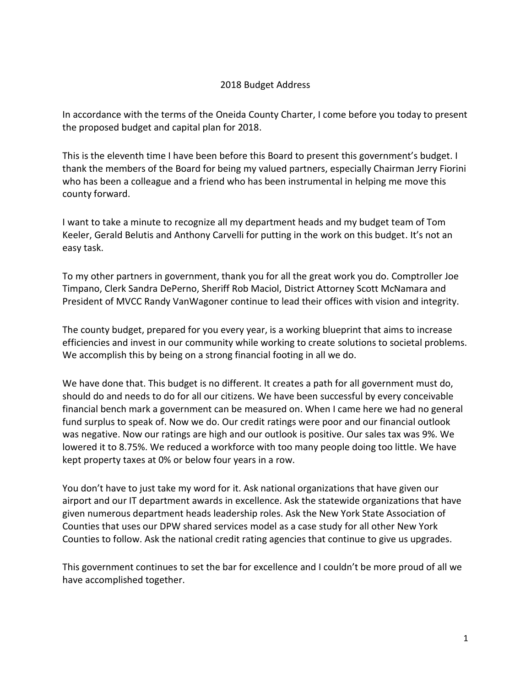## 2018 Budget Address

In accordance with the terms of the Oneida County Charter, I come before you today to present the proposed budget and capital plan for 2018.

This is the eleventh time I have been before this Board to present this government's budget. I thank the members of the Board for being my valued partners, especially Chairman Jerry Fiorini who has been a colleague and a friend who has been instrumental in helping me move this county forward.

I want to take a minute to recognize all my department heads and my budget team of Tom Keeler, Gerald Belutis and Anthony Carvelli for putting in the work on this budget. It's not an easy task.

To my other partners in government, thank you for all the great work you do. Comptroller Joe Timpano, Clerk Sandra DePerno, Sheriff Rob Maciol, District Attorney Scott McNamara and President of MVCC Randy VanWagoner continue to lead their offices with vision and integrity.

The county budget, prepared for you every year, is a working blueprint that aims to increase efficiencies and invest in our community while working to create solutions to societal problems. We accomplish this by being on a strong financial footing in all we do.

We have done that. This budget is no different. It creates a path for all government must do, should do and needs to do for all our citizens. We have been successful by every conceivable financial bench mark a government can be measured on. When I came here we had no general fund surplus to speak of. Now we do. Our credit ratings were poor and our financial outlook was negative. Now our ratings are high and our outlook is positive. Our sales tax was 9%. We lowered it to 8.75%. We reduced a workforce with too many people doing too little. We have kept property taxes at 0% or below four years in a row.

You don't have to just take my word for it. Ask national organizations that have given our airport and our IT department awards in excellence. Ask the statewide organizations that have given numerous department heads leadership roles. Ask the New York State Association of Counties that uses our DPW shared services model as a case study for all other New York Counties to follow. Ask the national credit rating agencies that continue to give us upgrades.

This government continues to set the bar for excellence and I couldn't be more proud of all we have accomplished together.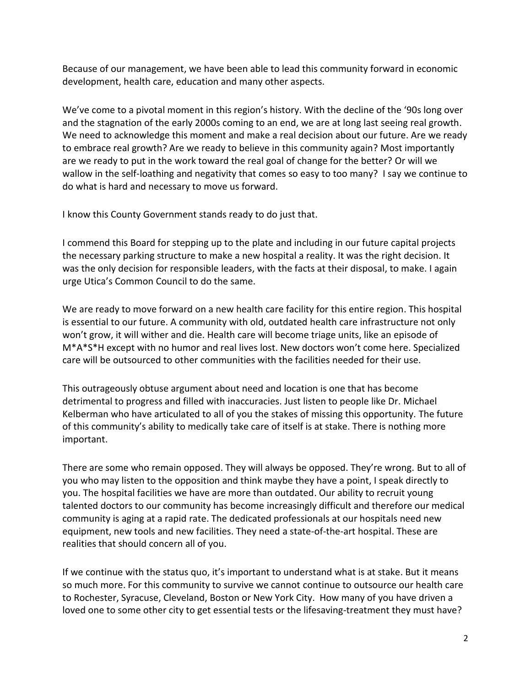Because of our management, we have been able to lead this community forward in economic development, health care, education and many other aspects.

We've come to a pivotal moment in this region's history. With the decline of the '90s long over and the stagnation of the early 2000s coming to an end, we are at long last seeing real growth. We need to acknowledge this moment and make a real decision about our future. Are we ready to embrace real growth? Are we ready to believe in this community again? Most importantly are we ready to put in the work toward the real goal of change for the better? Or will we wallow in the self-loathing and negativity that comes so easy to too many? I say we continue to do what is hard and necessary to move us forward.

I know this County Government stands ready to do just that.

I commend this Board for stepping up to the plate and including in our future capital projects the necessary parking structure to make a new hospital a reality. It was the right decision. It was the only decision for responsible leaders, with the facts at their disposal, to make. I again urge Utica's Common Council to do the same.

We are ready to move forward on a new health care facility for this entire region. This hospital is essential to our future. A community with old, outdated health care infrastructure not only won't grow, it will wither and die. Health care will become triage units, like an episode of M\*A\*S\*H except with no humor and real lives lost. New doctors won't come here. Specialized care will be outsourced to other communities with the facilities needed for their use.

This outrageously obtuse argument about need and location is one that has become detrimental to progress and filled with inaccuracies. Just listen to people like Dr. Michael Kelberman who have articulated to all of you the stakes of missing this opportunity. The future of this community's ability to medically take care of itself is at stake. There is nothing more important.

There are some who remain opposed. They will always be opposed. They're wrong. But to all of you who may listen to the opposition and think maybe they have a point, I speak directly to you. The hospital facilities we have are more than outdated. Our ability to recruit young talented doctors to our community has become increasingly difficult and therefore our medical community is aging at a rapid rate. The dedicated professionals at our hospitals need new equipment, new tools and new facilities. They need a state-of-the-art hospital. These are realities that should concern all of you.

If we continue with the status quo, it's important to understand what is at stake. But it means so much more. For this community to survive we cannot continue to outsource our health care to Rochester, Syracuse, Cleveland, Boston or New York City. How many of you have driven a loved one to some other city to get essential tests or the lifesaving-treatment they must have?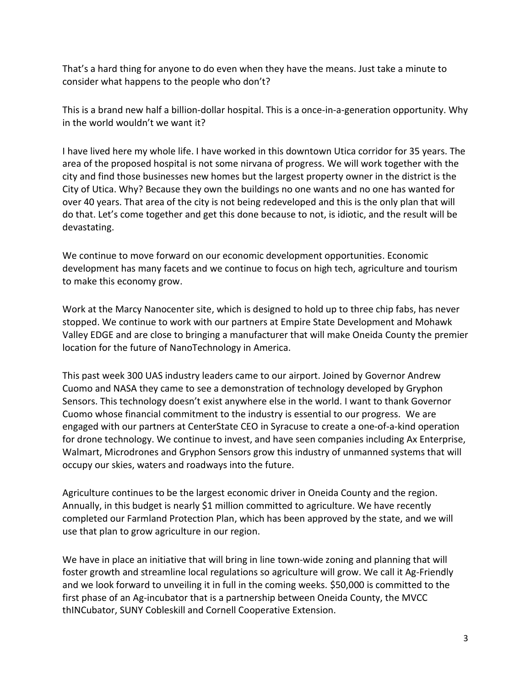That's a hard thing for anyone to do even when they have the means. Just take a minute to consider what happens to the people who don't?

This is a brand new half a billion-dollar hospital. This is a once-in-a-generation opportunity. Why in the world wouldn't we want it?

I have lived here my whole life. I have worked in this downtown Utica corridor for 35 years. The area of the proposed hospital is not some nirvana of progress. We will work together with the city and find those businesses new homes but the largest property owner in the district is the City of Utica. Why? Because they own the buildings no one wants and no one has wanted for over 40 years. That area of the city is not being redeveloped and this is the only plan that will do that. Let's come together and get this done because to not, is idiotic, and the result will be devastating.

We continue to move forward on our economic development opportunities. Economic development has many facets and we continue to focus on high tech, agriculture and tourism to make this economy grow.

Work at the Marcy Nanocenter site, which is designed to hold up to three chip fabs, has never stopped. We continue to work with our partners at Empire State Development and Mohawk Valley EDGE and are close to bringing a manufacturer that will make Oneida County the premier location for the future of NanoTechnology in America.

This past week 300 UAS industry leaders came to our airport. Joined by Governor Andrew Cuomo and NASA they came to see a demonstration of technology developed by Gryphon Sensors. This technology doesn't exist anywhere else in the world. I want to thank Governor Cuomo whose financial commitment to the industry is essential to our progress. We are engaged with our partners at CenterState CEO in Syracuse to create a one-of-a-kind operation for drone technology. We continue to invest, and have seen companies including Ax Enterprise, Walmart, Microdrones and Gryphon Sensors grow this industry of unmanned systems that will occupy our skies, waters and roadways into the future.

Agriculture continues to be the largest economic driver in Oneida County and the region. Annually, in this budget is nearly \$1 million committed to agriculture. We have recently completed our Farmland Protection Plan, which has been approved by the state, and we will use that plan to grow agriculture in our region.

We have in place an initiative that will bring in line town-wide zoning and planning that will foster growth and streamline local regulations so agriculture will grow. We call it Ag-Friendly and we look forward to unveiling it in full in the coming weeks. \$50,000 is committed to the first phase of an Ag-incubator that is a partnership between Oneida County, the MVCC thINCubator, SUNY Cobleskill and Cornell Cooperative Extension.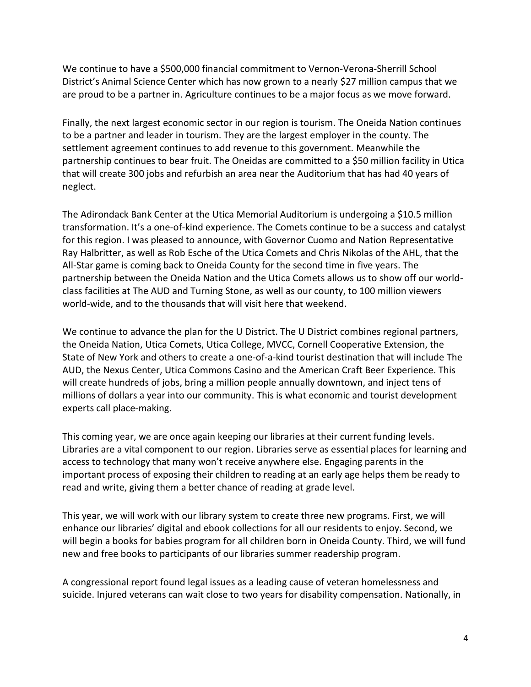We continue to have a \$500,000 financial commitment to Vernon-Verona-Sherrill School District's Animal Science Center which has now grown to a nearly \$27 million campus that we are proud to be a partner in. Agriculture continues to be a major focus as we move forward.

Finally, the next largest economic sector in our region is tourism. The Oneida Nation continues to be a partner and leader in tourism. They are the largest employer in the county. The settlement agreement continues to add revenue to this government. Meanwhile the partnership continues to bear fruit. The Oneidas are committed to a \$50 million facility in Utica that will create 300 jobs and refurbish an area near the Auditorium that has had 40 years of neglect.

The Adirondack Bank Center at the Utica Memorial Auditorium is undergoing a \$10.5 million transformation. It's a one-of-kind experience. The Comets continue to be a success and catalyst for this region. I was pleased to announce, with Governor Cuomo and Nation Representative Ray Halbritter, as well as Rob Esche of the Utica Comets and Chris Nikolas of the AHL, that the All-Star game is coming back to Oneida County for the second time in five years. The partnership between the Oneida Nation and the Utica Comets allows us to show off our worldclass facilities at The AUD and Turning Stone, as well as our county, to 100 million viewers world-wide, and to the thousands that will visit here that weekend.

We continue to advance the plan for the U District. The U District combines regional partners, the Oneida Nation, Utica Comets, Utica College, MVCC, Cornell Cooperative Extension, the State of New York and others to create a one-of-a-kind tourist destination that will include The AUD, the Nexus Center, Utica Commons Casino and the American Craft Beer Experience. This will create hundreds of jobs, bring a million people annually downtown, and inject tens of millions of dollars a year into our community. This is what economic and tourist development experts call place-making.

This coming year, we are once again keeping our libraries at their current funding levels. Libraries are a vital component to our region. Libraries serve as essential places for learning and access to technology that many won't receive anywhere else. Engaging parents in the important process of exposing their children to reading at an early age helps them be ready to read and write, giving them a better chance of reading at grade level.

This year, we will work with our library system to create three new programs. First, we will enhance our libraries' digital and ebook collections for all our residents to enjoy. Second, we will begin a books for babies program for all children born in Oneida County. Third, we will fund new and free books to participants of our libraries summer readership program.

A congressional report found legal issues as a leading cause of veteran homelessness and suicide. Injured veterans can wait close to two years for disability compensation. Nationally, in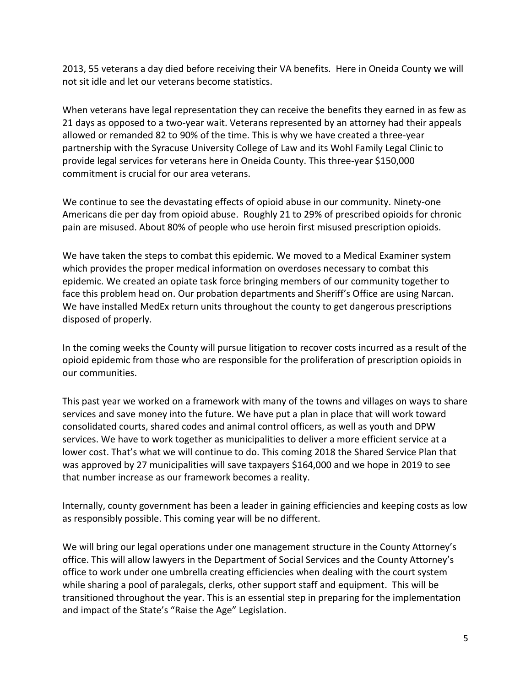2013, 55 veterans a day died before receiving their VA benefits. Here in Oneida County we will not sit idle and let our veterans become statistics.

When veterans have legal representation they can receive the benefits they earned in as few as 21 days as opposed to a two-year wait. Veterans represented by an attorney had their appeals allowed or remanded 82 to 90% of the time. This is why we have created a three-year partnership with the Syracuse University College of Law and its Wohl Family Legal Clinic to provide legal services for veterans here in Oneida County. This three-year \$150,000 commitment is crucial for our area veterans.

We continue to see the devastating effects of opioid abuse in our community. Ninety-one Americans die per day from opioid abuse. Roughly 21 to 29% of prescribed opioids for chronic pain are misused. About 80% of people who use heroin first misused prescription opioids.

We have taken the steps to combat this epidemic. We moved to a Medical Examiner system which provides the proper medical information on overdoses necessary to combat this epidemic. We created an opiate task force bringing members of our community together to face this problem head on. Our probation departments and Sheriff's Office are using Narcan. We have installed MedEx return units throughout the county to get dangerous prescriptions disposed of properly.

In the coming weeks the County will pursue litigation to recover costs incurred as a result of the opioid epidemic from those who are responsible for the proliferation of prescription opioids in our communities.

This past year we worked on a framework with many of the towns and villages on ways to share services and save money into the future. We have put a plan in place that will work toward consolidated courts, shared codes and animal control officers, as well as youth and DPW services. We have to work together as municipalities to deliver a more efficient service at a lower cost. That's what we will continue to do. This coming 2018 the Shared Service Plan that was approved by 27 municipalities will save taxpayers \$164,000 and we hope in 2019 to see that number increase as our framework becomes a reality.

Internally, county government has been a leader in gaining efficiencies and keeping costs as low as responsibly possible. This coming year will be no different.

We will bring our legal operations under one management structure in the County Attorney's office. This will allow lawyers in the Department of Social Services and the County Attorney's office to work under one umbrella creating efficiencies when dealing with the court system while sharing a pool of paralegals, clerks, other support staff and equipment. This will be transitioned throughout the year. This is an essential step in preparing for the implementation and impact of the State's "Raise the Age" Legislation.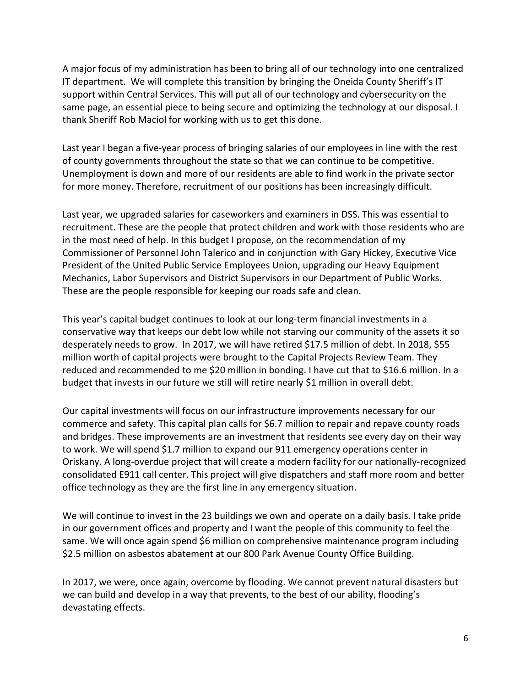A major focus of my administration has been to bring all of our technology into one centralized IT department. We will complete this transition by bringing the Oneida County Sheriff's IT support within Central Services. This will put all of our technology and cybersecurity on the same page, an essential piece to being secure and optimizing the technology at our disposal. I thank Sheriff Rob Maciol for working with us to get this done.

Last year I began a five-year process of bringing salaries of our employees in line with the rest of county governments throughout the state so that we can continue to be competitive. Unemployment is down and more of our residents are able to find work in the private sector for more money. Therefore, recruitment of our positions has been increasingly difficult.

Last year, we upgraded salaries for caseworkers and examiners in DSS. This was essential to recruitment. These are the people that protect children and work with those residents who are in the most need of help. In this budget I propose, on the recommendation of my Commissioner of Personnel John Talerico and in conjunction with Gary Hickey, Executive Vice President of the United Public Service Employees Union, upgrading our Heavy Equipment Mechanics, Labor Supervisors and District Supervisors in our Department of Public Works. These are the people responsible for keeping our roads safe and clean.

This year's capital budget continues to look at our long-term financial investments in a conservative way that keeps our debt low while not starving our community of the assets it so desperately needs to grow. In 2017, we will have retired \$17.5 million of debt. In 2018, \$55 million worth of capital projects were brought to the Capital Projects Review Team. They reduced and recommended to me \$20 million in bonding. I have cut that to \$16.6 million. In a budget that invests in our future we still will retire nearly \$1 million in overall debt.

Our capital investments will focus on our infrastructure improvements necessary for our commerce and safety. This capital plan calls for \$6.7 million to repair and repave county roads and bridges. These improvements are an investment that residents see every day on their way to work. We will spend \$1.7 million to expand our 911 emergency operations center in Oriskany. A long-overdue project that will create a modern facility for our nationally-recognized consolidated E911 call center. This project will give dispatchers and staff more room and better office technology as they are the first line in any emergency situation.

We will continue to invest in the 23 buildings we own and operate on a daily basis. I take pride in our government offices and property and I want the people of this community to feel the same. We will once again spend \$6 million on comprehensive maintenance program including \$2.5 million on asbestos abatement at our 800 Park Avenue County Office Building.

In 2017, we were, once again, overcome by flooding. We cannot prevent natural disasters but we can build and develop in a way that prevents, to the best of our ability, flooding's devastating effects.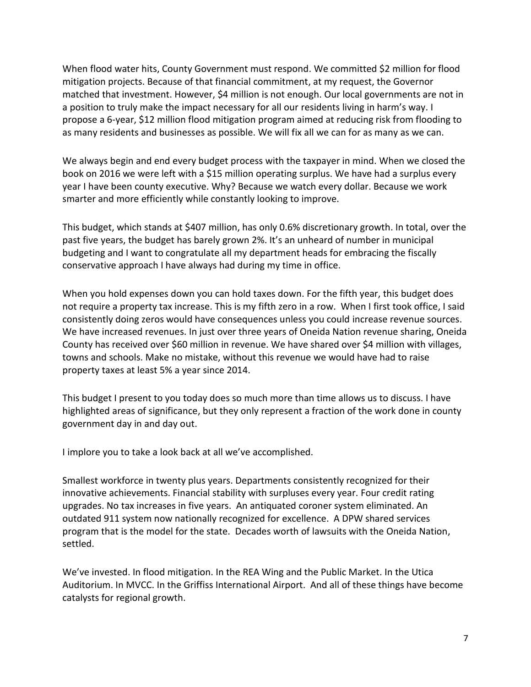When flood water hits, County Government must respond. We committed \$2 million for flood mitigation projects. Because of that financial commitment, at my request, the Governor matched that investment. However, \$4 million is not enough. Our local governments are not in a position to truly make the impact necessary for all our residents living in harm's way. I propose a 6-year, \$12 million flood mitigation program aimed at reducing risk from flooding to as many residents and businesses as possible. We will fix all we can for as many as we can.

We always begin and end every budget process with the taxpayer in mind. When we closed the book on 2016 we were left with a \$15 million operating surplus. We have had a surplus every year I have been county executive. Why? Because we watch every dollar. Because we work smarter and more efficiently while constantly looking to improve.

This budget, which stands at \$407 million, has only 0.6% discretionary growth. In total, over the past five years, the budget has barely grown 2%. It's an unheard of number in municipal budgeting and I want to congratulate all my department heads for embracing the fiscally conservative approach I have always had during my time in office.

When you hold expenses down you can hold taxes down. For the fifth year, this budget does not require a property tax increase. This is my fifth zero in a row. When I first took office, I said consistently doing zeros would have consequences unless you could increase revenue sources. We have increased revenues. In just over three years of Oneida Nation revenue sharing, Oneida County has received over \$60 million in revenue. We have shared over \$4 million with villages, towns and schools. Make no mistake, without this revenue we would have had to raise property taxes at least 5% a year since 2014.

This budget I present to you today does so much more than time allows us to discuss. I have highlighted areas of significance, but they only represent a fraction of the work done in county government day in and day out.

I implore you to take a look back at all we've accomplished.

Smallest workforce in twenty plus years. Departments consistently recognized for their innovative achievements. Financial stability with surpluses every year. Four credit rating upgrades. No tax increases in five years. An antiquated coroner system eliminated. An outdated 911 system now nationally recognized for excellence. A DPW shared services program that is the model for the state. Decades worth of lawsuits with the Oneida Nation, settled.

We've invested. In flood mitigation. In the REA Wing and the Public Market. In the Utica Auditorium. In MVCC. In the Griffiss International Airport. And all of these things have become catalysts for regional growth.